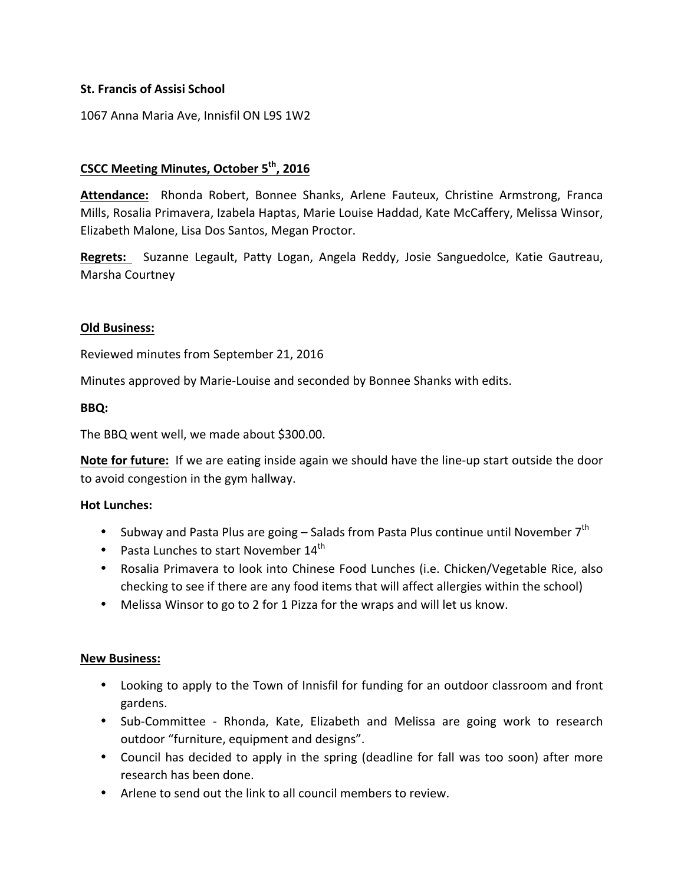### **St. Francis of Assisi School**

1067 Anna Maria Ave, Innisfil ON L9S 1W2

# **CSCC Meeting Minutes, October 5th, 2016**

Attendance: Rhonda Robert, Bonnee Shanks, Arlene Fauteux, Christine Armstrong, Franca Mills, Rosalia Primavera, Izabela Haptas, Marie Louise Haddad, Kate McCaffery, Melissa Winsor, Elizabeth Malone, Lisa Dos Santos, Megan Proctor.

**Regrets:** Suzanne Legault, Patty Logan, Angela Reddy, Josie Sanguedolce, Katie Gautreau, Marsha Courtney 

### **Old Business:**

Reviewed minutes from September 21, 2016

Minutes approved by Marie-Louise and seconded by Bonnee Shanks with edits.

#### **BBQ:**

The BBQ went well, we made about \$300.00.

**Note for future:** If we are eating inside again we should have the line-up start outside the door to avoid congestion in the gym hallway.

### **Hot Lunches:**

- Subway and Pasta Plus are going Salads from Pasta Plus continue until November  $7^{th}$
- Pasta Lunches to start November  $14<sup>th</sup>$
- Rosalia Primavera to look into Chinese Food Lunches (i.e. Chicken/Vegetable Rice, also checking to see if there are any food items that will affect allergies within the school)
- Melissa Winsor to go to 2 for 1 Pizza for the wraps and will let us know.

#### **New Business:**

- Looking to apply to the Town of Innisfil for funding for an outdoor classroom and front gardens.
- Sub-Committee Rhonda, Kate, Elizabeth and Melissa are going work to research outdoor "furniture, equipment and designs".
- Council has decided to apply in the spring (deadline for fall was too soon) after more research has been done.
- Arlene to send out the link to all council members to review.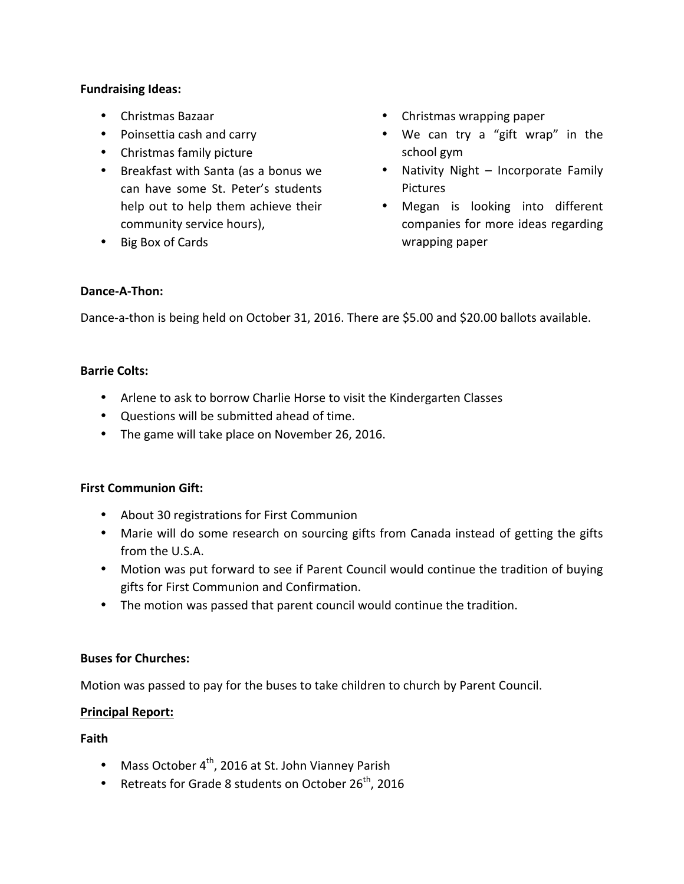### **Fundraising Ideas:**

- Christmas Bazaar
- Poinsettia cash and carry
- Christmas family picture
- Breakfast with Santa (as a bonus we can have some St. Peter's students help out to help them achieve their community service hours),
- Big Box of Cards
- Christmas wrapping paper
- We can try a "gift wrap" in the school gym
- Nativity Night Incorporate Family Pictures
- Megan is looking into different companies for more ideas regarding wrapping paper

### **Dance-A-Thon:**

Dance-a-thon is being held on October 31, 2016. There are \$5.00 and \$20.00 ballots available.

### **Barrie Colts:**

- Arlene to ask to borrow Charlie Horse to visit the Kindergarten Classes
- Questions will be submitted ahead of time.
- The game will take place on November 26, 2016.

## **First Communion Gift:**

- About 30 registrations for First Communion
- Marie will do some research on sourcing gifts from Canada instead of getting the gifts from the U.S.A.
- Motion was put forward to see if Parent Council would continue the tradition of buying gifts for First Communion and Confirmation.
- The motion was passed that parent council would continue the tradition.

# **Buses for Churches:**

Motion was passed to pay for the buses to take children to church by Parent Council.

## **Principal Report:**

## **Faith**

- Mass October  $4^{th}$ , 2016 at St. John Vianney Parish
- Retreats for Grade 8 students on October  $26^{th}$ , 2016